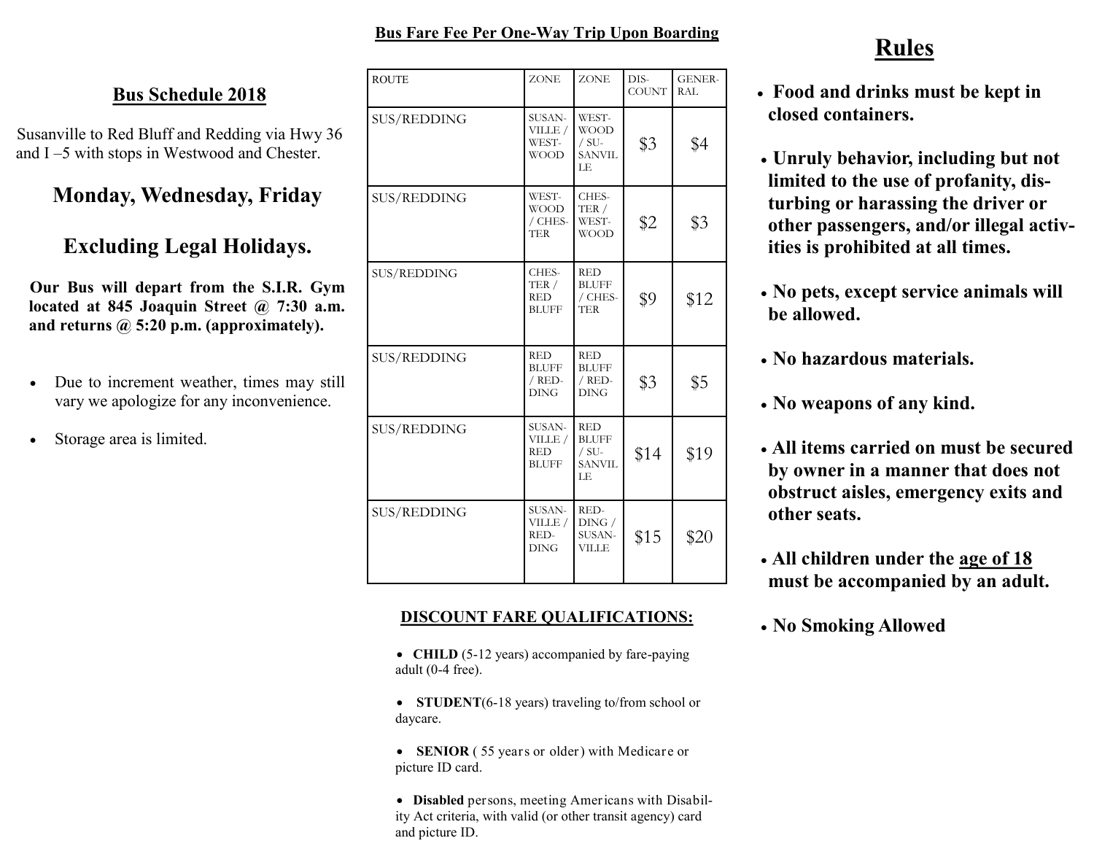### **Bus Fare Fee Per One-Way Trip Upon Boarding**

### **Bus Schedule 2018**

Susanville to Red Bluff and Redding via Hwy 36 and I –5 with stops in Westwood and Chester.

# **Monday, Wednesday, Friday**

# **Excluding Legal Holidays.**

**Our Bus will depart from the S.I.R. Gym located at 845 Joaquin Street @ 7:30 a.m. and returns @ 5:20 p.m. (approximately).**

- Due to increment weather, times may still vary we apologize for any inconvenience.
- Storage area is limited.

| <b>ROUTE</b>       | <b>ZONE</b>                                         | <b>ZONE</b>                                                   | DIS-<br><b>COUNT</b> | <b>GENER-</b><br><b>RAL</b> |
|--------------------|-----------------------------------------------------|---------------------------------------------------------------|----------------------|-----------------------------|
| <b>SUS/REDDING</b> | SUSAN-<br>VILLE /<br>WEST-<br><b>WOOD</b>           | WEST-<br><b>WOOD</b><br>$/ SU-$<br><b>SANVIL</b><br>LE        | \$3                  | \$4                         |
| <b>SUS/REDDING</b> | WEST-<br>WOOD<br>/ CHES-<br><b>TER</b>              | CHES-<br>TER /<br>WEST-<br><b>WOOD</b>                        | \$2                  | \$3                         |
| SUS/REDDING        | CHES-<br>TER /<br><b>RED</b><br><b>BLUFF</b>        | <b>RED</b><br><b>BLUFF</b><br>/ CHES-<br><b>TER</b>           | \$9                  | \$12                        |
| <b>SUS/REDDING</b> | <b>RED</b><br><b>BLUFF</b><br>/ RED-<br><b>DING</b> | <b>RED</b><br><b>BLUFF</b><br>/ RED-<br><b>DING</b>           | \$3                  | \$5                         |
| SUS/REDDING        | SUSAN-<br>VILLE /<br><b>RED</b><br><b>BLUFF</b>     | <b>RED</b><br><b>BLUFF</b><br>$/ SU-$<br><b>SANVIL</b><br>LE. | \$14                 | \$19                        |
| <b>SUS/REDDING</b> | SUSAN-<br>VILLE /<br>RED-<br><b>DING</b>            | RED-<br>DING /<br>SUSAN-<br><b>VILLE</b>                      | \$15                 | \$20                        |

### **DISCOUNT FARE QUALIFICATIONS:**

- **CHILD** (5-12 years) accompanied by fare-paying adult (0-4 free).
- **STUDENT**(6-18 years) traveling to/from school or daycare.
- **SENIOR** ( 55 years or older) with Medicare or picture ID card.
- **Disabled** persons, meeting Americans with Disability Act criteria, with valid (or other transit agency) card and picture ID.

# **Rules**

- **Food and drinks must be kept in closed containers.**
- **Unruly behavior, including but not limited to the use of profanity, disturbing or harassing the driver or other passengers, and/or illegal activities is prohibited at all times.**
- **No pets, except service animals will be allowed.**
- **No hazardous materials.**
- **No weapons of any kind.**
- **All items carried on must be secured by owner in a manner that does not obstruct aisles, emergency exits and other seats.**
- **All children under the age of 18 must be accompanied by an adult.**
- **No Smoking Allowed**